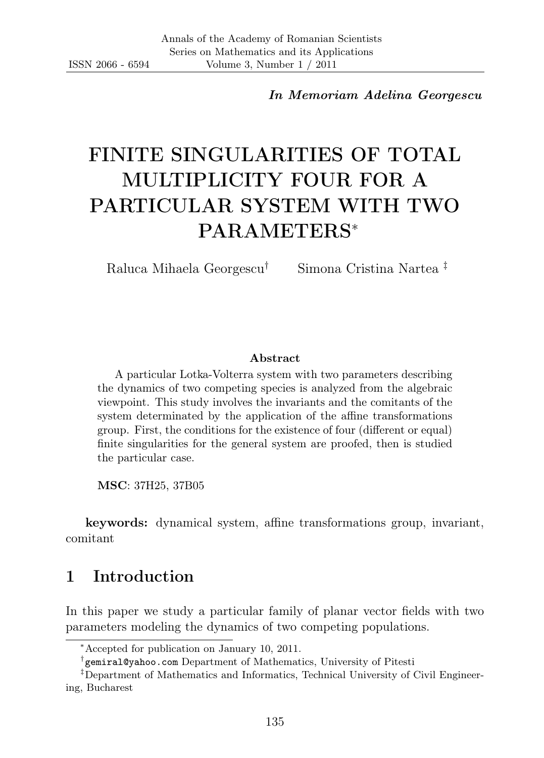In Memoriam Adelina Georgescu

# FINITE SINGULARITIES OF TOTAL MULTIPLICITY FOUR FOR A PARTICULAR SYSTEM WITH TWO PARAMETERS<sup>∗</sup>

Raluca Mihaela Georgescu† Simona Cristina Nartea ‡

#### Abstract

A particular Lotka-Volterra system with two parameters describing the dynamics of two competing species is analyzed from the algebraic viewpoint. This study involves the invariants and the comitants of the system determinated by the application of the affine transformations group. First, the conditions for the existence of four (different or equal) finite singularities for the general system are proofed, then is studied the particular case.

MSC: 37H25, 37B05

keywords: dynamical system, affine transformations group, invariant, comitant

### 1 Introduction

In this paper we study a particular family of planar vector fields with two parameters modeling the dynamics of two competing populations.

<sup>∗</sup>Accepted for publication on January 10, 2011.

<sup>†</sup> gemiral@yahoo.com Department of Mathematics, University of Pitesti

<sup>‡</sup>Department of Mathematics and Informatics, Technical University of Civil Engineering, Bucharest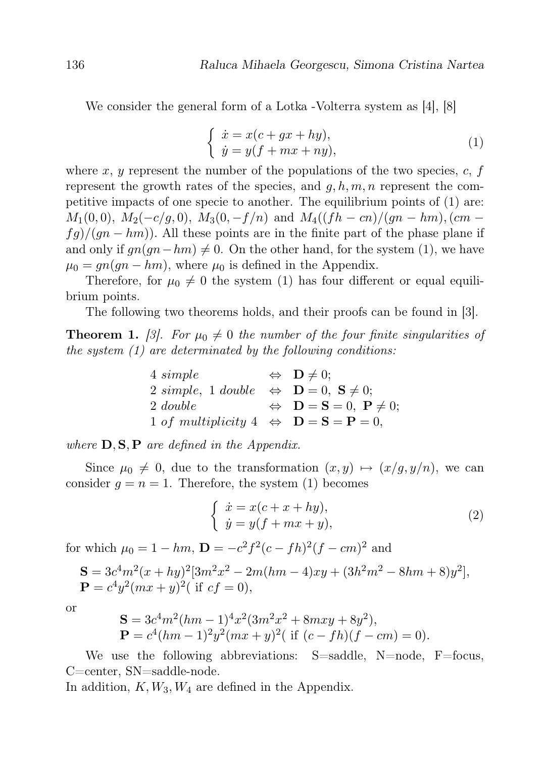We consider the general form of a Lotka -Volterra system as [4], [8]

$$
\begin{cases}\n\dot{x} = x(c + gx + hy), \\
\dot{y} = y(f + mx + ny),\n\end{cases} (1)
$$

where x, y represent the number of the populations of the two species,  $c, f$ represent the growth rates of the species, and  $q, h, m, n$  represent the competitive impacts of one specie to another. The equilibrium points of (1) are:  $M_1(0,0)$ ,  $M_2(-c/q, 0)$ ,  $M_3(0, -f/n)$  and  $M_4((fh - cn)/(qn - hm)$ ,  $(cm$  $f\left(\frac{q}{m}-h\right)$ . All these points are in the finite part of the phase plane if and only if  $qn(qn-hm) \neq 0$ . On the other hand, for the system (1), we have  $\mu_0 = gn(gn-hm)$ , where  $\mu_0$  is defined in the Appendix.

Therefore, for  $\mu_0 \neq 0$  the system (1) has four different or equal equilibrium points.

The following two theorems holds, and their proofs can be found in [3].

**Theorem 1.** [3]. For  $\mu_0 \neq 0$  the number of the four finite singularities of the system (1) are determinated by the following conditions:

| 4 simple                                                                           | $\Leftrightarrow$ $\mathbf{D} \neq 0;$                                  |
|------------------------------------------------------------------------------------|-------------------------------------------------------------------------|
| 2 simple, 1 double $\Leftrightarrow$ $\mathbf{D} = 0$ , $\mathbf{S} \neq 0$ ;      |                                                                         |
| $2 \ double$                                                                       | $\Leftrightarrow$ $\mathbf{D} = \mathbf{S} = 0$ , $\mathbf{P} \neq 0$ ; |
| 1 of multiplicity 4 $\Leftrightarrow$ $\mathbf{D} = \mathbf{S} = \mathbf{P} = 0$ , |                                                                         |

where  $D, S, P$  are defined in the Appendix.

Since  $\mu_0 \neq 0$ , due to the transformation  $(x, y) \mapsto (x/q, y/n)$ , we can consider  $q = n = 1$ . Therefore, the system (1) becomes

$$
\begin{cases}\n\dot{x} = x(c+x+hy), \\
\dot{y} = y(f+mx+y),\n\end{cases} (2)
$$

for which  $\mu_0 = 1 - hm$ ,  $\mathbf{D} = -c^2 f^2 (c - fh)^2 (f - cm)^2$  and

$$
\mathbf{S} = 3c^4m^2(x+hy)^2[3m^2x^2 - 2m(hm-4)xy + (3h^2m^2 - 8hm + 8)y^2],
$$
  
\n
$$
\mathbf{P} = c^4y^2(mx+y)^2(\text{ if } cf = 0),
$$

or

$$
\mathbf{S} = 3c^4m^2(hm-1)^4x^2(3m^2x^2 + 8mxy + 8y^2),
$$
  
\n
$$
\mathbf{P} = c^4(hm-1)^2y^2(mx+y)^2(\text{ if } (c-fh)(f-cm) = 0).
$$

We use the following abbreviations: S=saddle, N=node, F=focus, C=center, SN=saddle-node.

In addition,  $K, W_3, W_4$  are defined in the Appendix.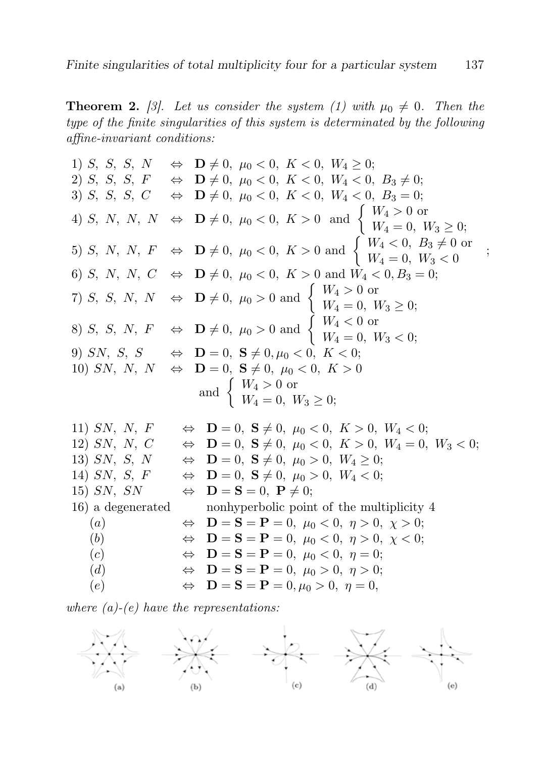**Theorem 2.** [3]. Let us consider the system (1) with  $\mu_0 \neq 0$ . Then the type of the finite singularities of this system is determinated by the following affine-invariant conditions:

1) S, S, S, N  $\Leftrightarrow$   $\mathbf{D} \neq 0$ ,  $\mu_0 < 0$ ,  $K < 0$ ,  $W_4 \geq 0$ ;<br>2) S, S, S, F  $\Leftrightarrow$   $\mathbf{D} \neq 0$ ,  $\mu_0 < 0$ ,  $K < 0$ ,  $W_4 < 0$ ,  $B_3 \neq 0$ ; 2) S, S, S, F  $\Leftrightarrow$   $\mathbf{D} \neq 0$ ,  $\mu_0 < 0$ ,  $K < 0$ ,  $W_4 < 0$ ,  $B_3 \neq 0$ ; 3) S, S, S, C  $\Leftrightarrow$   $\mathbf{D} \neq 0$ ,  $\mu_0 < 0$ ,  $K < 0$ ,  $W_4 < 0$ ,  $B_3 = 0$ ; 4) S, N, N, N  $\Leftrightarrow$   $\mathbf{D} \neq 0$ ,  $\mu_0 < 0$ ,  $K > 0$  and  $\begin{cases} W_4 > 0 \text{ or } \\ W_1 = 0, \end{cases}$  $W_4 = 0, W_3 \geq 0;$ 5) S, N, N, F  $\Leftrightarrow$   $\mathbf{D} \neq 0$ ,  $\mu_0 < 0$ ,  $K > 0$  and  $\begin{cases} W_4 < 0, B_3 \neq 0 \text{ or } \\ W_1 = 0, W_2 > 0 \end{cases}$  $W_4 = 0, W_3 < 0$ 6) S, N, N, C  $\Leftrightarrow$   $\mathbf{D} \neq 0$ ,  $\mu_0 < 0$ ,  $K > 0$  and  $W_4 < 0$ ,  $B_3 = 0$ ; 7) S, S, N, N  $\Leftrightarrow$   $\mathbf{D} \neq 0$ ,  $\mu_0 > 0$  and  $\begin{cases} W_4 > 0 \text{ or } \\ W_1 = 0, \end{cases}$  $W_4 = 0, W_3 \geq 0;$ 8) S, S, N,  $F \Leftrightarrow \mathbf{D} \neq 0$ ,  $\mu_0 > 0$  and  $\begin{cases} W_4 < 0 \text{ or } \\ W_5 = 0, \end{cases}$  $W_4 = 0, W_3 < 0;$ 9) SN, S, S  $\Leftrightarrow$   $\mathbf{D} = 0$ ,  $\mathbf{S} \neq 0, \mu_0 < 0, K < 0;$ 10) SN, N, N  $\Leftrightarrow$   $\mathbf{D} = 0$ ,  $\mathbf{S} \neq 0$ ,  $\mu_0 < 0$ ,  $K > 0$ and  $\begin{cases} W_4 > 0 \text{ or} \\ W_4 > 0 \end{cases}$  $W_4 = 0, W_3 \geq 0;$ 11) SN, N, F  $\Leftrightarrow$   $\mathbf{D} = 0$ ,  $\mathbf{S} \neq 0$ ,  $\mu_0 < 0$ ,  $K > 0$ ,  $W_4 < 0$ ; 12) SN, N, C  $\Leftrightarrow$  **D** = 0, **S**  $\neq$  0,  $\mu_0 < 0$ ,  $K > 0$ ,  $W_4 = 0$ ,  $W_3 < 0$ ;<br>13) SN, S, N  $\Leftrightarrow$  **D** = 0, **S**  $\neq$  0,  $\mu_0 > 0$ ,  $W_4 \ge 0$ ;  $\Leftrightarrow$   $\mathbf{D} = 0$ ,  $\mathbf{S} \neq 0$ ,  $\mu_0 > 0$ ,  $W_4 \geq 0$ ; 14) SN, S, F  $\Leftrightarrow$   $\mathbf{D} = 0$ ,  $\mathbf{S} \neq 0$ ,  $\mu_0 > 0$ ,  $W_4 < 0$ ; 15) SN, SN  $\Leftrightarrow$   $\mathbf{D} = \mathbf{S} = 0$ ,  $\mathbf{P} \neq 0$ ; 16) a degenerated nonhyperbolic point of the multiplicity 4 (a)  $\Leftrightarrow$   $\mathbf{D} = \mathbf{S} = \mathbf{P} = 0$ ,  $\mu_0 < 0$ ,  $\eta > 0$ ,  $\chi > 0$ ; (b)  $\Leftrightarrow$   $\mathbf{D} = \mathbf{S} = \mathbf{P} = 0, \ \mu_0 < 0, \ \eta > 0, \ \chi < 0;$ (c)  $\Leftrightarrow$   $\mathbf{D} = \mathbf{S} = \mathbf{P} = 0$ ,  $\mu_0 < 0$ ,  $\eta = 0$ ; (d)  $\Leftrightarrow$   $\mathbf{D} = \mathbf{S} = \mathbf{P} = 0, \ \mu_0 > 0, \ \eta > 0;$ (e)  $\Leftrightarrow$   $\mathbf{D} = \mathbf{S} = \mathbf{P} = 0, \mu_0 > 0, \eta = 0,$ 

;

where  $(a)-(e)$  have the representations:

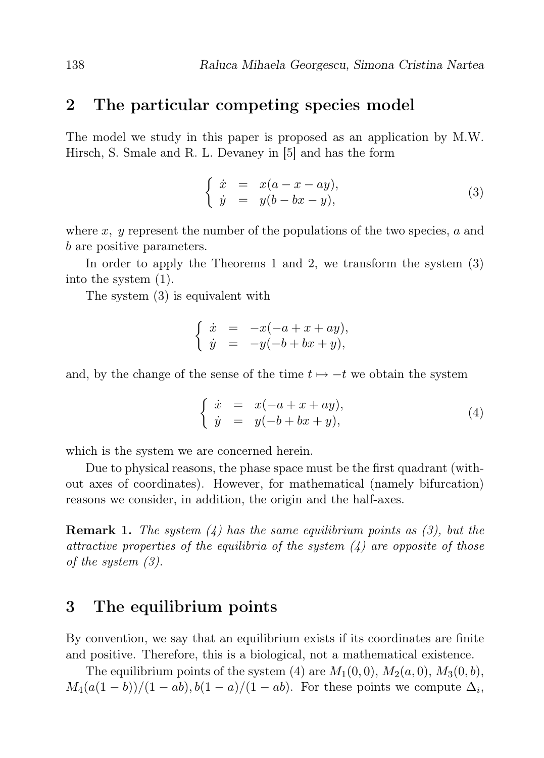#### 2 The particular competing species model

The model we study in this paper is proposed as an application by M.W. Hirsch, S. Smale and R. L. Devaney in [5] and has the form

$$
\begin{cases}\n\dot{x} = x(a-x-ay), \\
\dot{y} = y(b-bx-y),\n\end{cases} \tag{3}
$$

where x,  $y$  represent the number of the populations of the two species,  $a$  and b are positive parameters.

In order to apply the Theorems 1 and 2, we transform the system (3) into the system (1).

The system (3) is equivalent with

$$
\begin{cases}\n\dot{x} = -x(-a+x+ay), \\
\dot{y} = -y(-b+bx+y),\n\end{cases}
$$

and, by the change of the sense of the time  $t \mapsto -t$  we obtain the system

$$
\begin{cases}\n\dot{x} = x(-a+x+ay), \\
\dot{y} = y(-b+bx+y),\n\end{cases} (4)
$$

which is the system we are concerned herein.

Due to physical reasons, the phase space must be the first quadrant (without axes of coordinates). However, for mathematical (namely bifurcation) reasons we consider, in addition, the origin and the half-axes.

**Remark 1.** The system  $(4)$  has the same equilibrium points as  $(3)$ , but the attractive properties of the equilibria of the system  $\ell$ ) are opposite of those of the system (3).

#### 3 The equilibrium points

By convention, we say that an equilibrium exists if its coordinates are finite and positive. Therefore, this is a biological, not a mathematical existence.

The equilibrium points of the system (4) are  $M_1(0,0)$ ,  $M_2(a,0)$ ,  $M_3(0,b)$ ,  $M_4(a(1-b))/(1-ab), b(1-a)/(1-ab)$ . For these points we compute  $\Delta_i$ ,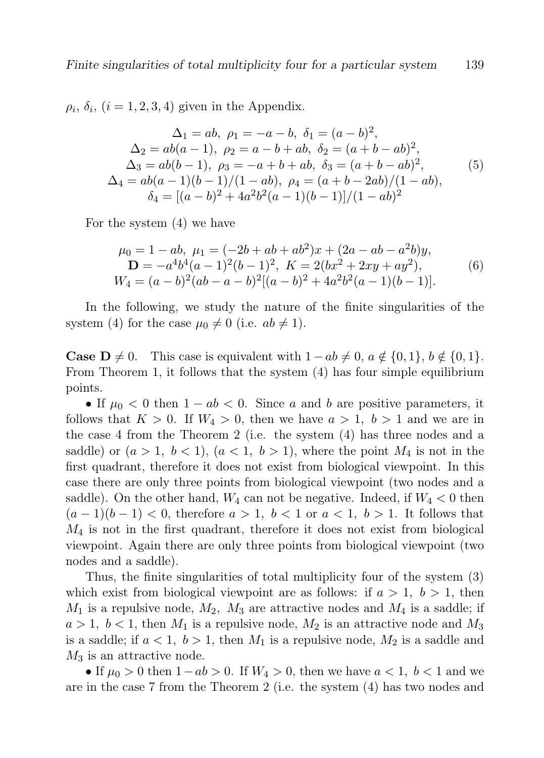$\rho_i$ ,  $\delta_i$ ,  $(i = 1, 2, 3, 4)$  given in the Appendix.

$$
\Delta_1 = ab, \ \rho_1 = -a - b, \ \delta_1 = (a - b)^2,
$$
  
\n
$$
\Delta_2 = ab(a - 1), \ \rho_2 = a - b + ab, \ \delta_2 = (a + b - ab)^2,
$$
  
\n
$$
\Delta_3 = ab(b - 1), \ \rho_3 = -a + b + ab, \ \delta_3 = (a + b - ab)^2,
$$
  
\n
$$
\Delta_4 = ab(a - 1)(b - 1)/(1 - ab), \ \rho_4 = (a + b - 2ab)/(1 - ab),
$$
  
\n
$$
\delta_4 = [(a - b)^2 + 4a^2b^2(a - 1)(b - 1)]/(1 - ab)^2
$$
\n(5)

For the system (4) we have

$$
\mu_0 = 1 - ab, \ \mu_1 = (-2b + ab + ab^2)x + (2a - ab - a^2b)y, \mathbf{D} = -a^4b^4(a-1)^2(b-1)^2, \ K = 2(bx^2 + 2xy + ay^2), \nW_4 = (a - b)^2(ab - a - b)^2[(a - b)^2 + 4a^2b^2(a-1)(b-1)].
$$
\n(6)

In the following, we study the nature of the finite singularities of the system (4) for the case  $\mu_0 \neq 0$  (i.e.  $ab \neq 1$ ).

**Case D**  $\neq$  0. This case is equivalent with  $1 - ab \neq 0$ ,  $a \notin \{0, 1\}$ ,  $b \notin \{0, 1\}$ . From Theorem 1, it follows that the system (4) has four simple equilibrium points.

• If  $\mu_0 < 0$  then  $1 - ab < 0$ . Since a and b are positive parameters, it follows that  $K > 0$ . If  $W_4 > 0$ , then we have  $a > 1$ ,  $b > 1$  and we are in the case 4 from the Theorem 2 (i.e. the system (4) has three nodes and a saddle) or  $(a > 1, b < 1), (a < 1, b > 1)$ , where the point  $M_4$  is not in the first quadrant, therefore it does not exist from biological viewpoint. In this case there are only three points from biological viewpoint (two nodes and a saddle). On the other hand,  $W_4$  can not be negative. Indeed, if  $W_4 < 0$  then  $(a-1)(b-1) < 0$ , therefore  $a > 1$ ,  $b < 1$  or  $a < 1$ ,  $b > 1$ . It follows that  $M_4$  is not in the first quadrant, therefore it does not exist from biological viewpoint. Again there are only three points from biological viewpoint (two nodes and a saddle).

Thus, the finite singularities of total multiplicity four of the system (3) which exist from biological viewpoint are as follows: if  $a > 1$ ,  $b > 1$ , then  $M_1$  is a repulsive node,  $M_2$ ,  $M_3$  are attractive nodes and  $M_4$  is a saddle; if  $a > 1, b < 1$ , then  $M_1$  is a repulsive node,  $M_2$  is an attractive node and  $M_3$ is a saddle; if  $a < 1$ ,  $b > 1$ , then  $M_1$  is a repulsive node,  $M_2$  is a saddle and  $M_3$  is an attractive node.

• If  $\mu_0 > 0$  then  $1-ab > 0$ . If  $W_4 > 0$ , then we have  $a < 1$ ,  $b < 1$  and we are in the case 7 from the Theorem 2 (i.e. the system (4) has two nodes and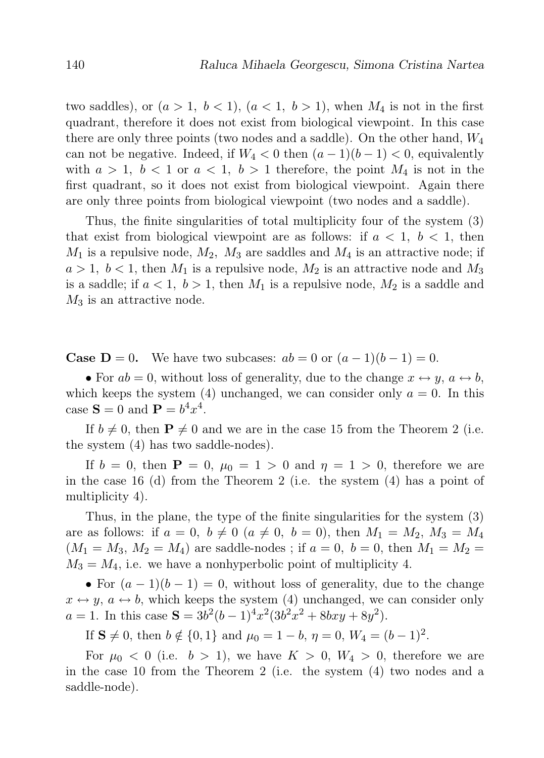two saddles), or  $(a > 1, b < 1)$ ,  $(a < 1, b > 1)$ , when  $M_4$  is not in the first quadrant, therefore it does not exist from biological viewpoint. In this case there are only three points (two nodes and a saddle). On the other hand,  $W_4$ can not be negative. Indeed, if  $W_4 < 0$  then  $(a-1)(b-1) < 0$ , equivalently with  $a > 1$ ,  $b < 1$  or  $a < 1$ ,  $b > 1$  therefore, the point  $M_4$  is not in the first quadrant, so it does not exist from biological viewpoint. Again there are only three points from biological viewpoint (two nodes and a saddle).

Thus, the finite singularities of total multiplicity four of the system (3) that exist from biological viewpoint are as follows: if  $a < 1$ ,  $b < 1$ , then  $M_1$  is a repulsive node,  $M_2$ ,  $M_3$  are saddles and  $M_4$  is an attractive node; if  $a > 1$ ,  $b < 1$ , then  $M_1$  is a repulsive node,  $M_2$  is an attractive node and  $M_3$ is a saddle; if  $a < 1$ ,  $b > 1$ , then  $M_1$  is a repulsive node,  $M_2$  is a saddle and  $M_3$  is an attractive node.

**Case D** = 0. We have two subcases:  $ab = 0$  or  $(a - 1)(b - 1) = 0$ .

• For  $ab = 0$ , without loss of generality, due to the change  $x \leftrightarrow y$ ,  $a \leftrightarrow b$ , which keeps the system (4) unchanged, we can consider only  $a = 0$ . In this case  $S = 0$  and  $P = b^4 x^4$ .

If  $b \neq 0$ , then  $P \neq 0$  and we are in the case 15 from the Theorem 2 (i.e. the system (4) has two saddle-nodes).

If  $b = 0$ , then  $P = 0$ ,  $\mu_0 = 1 > 0$  and  $\eta = 1 > 0$ , therefore we are in the case 16 (d) from the Theorem 2 (i.e. the system  $(4)$  has a point of multiplicity 4).

Thus, in the plane, the type of the finite singularities for the system (3) are as follows: if  $a = 0, b \neq 0$   $(a \neq 0, b = 0)$ , then  $M_1 = M_2, M_3 = M_4$  $(M_1 = M_3, M_2 = M_4)$  are saddle-nodes; if  $a = 0, b = 0$ , then  $M_1 = M_2 =$  $M_3 = M_4$ , i.e. we have a nonhyperbolic point of multiplicity 4.

• For  $(a-1)(b-1) = 0$ , without loss of generality, due to the change  $x \leftrightarrow y$ ,  $a \leftrightarrow b$ , which keeps the system (4) unchanged, we can consider only  $a = 1$ . In this case  $S = 3b^2(b-1)^4x^2(3b^2x^2 + 8bxy + 8y^2)$ .

If  $S \neq 0$ , then  $b \notin \{0, 1\}$  and  $\mu_0 = 1 - b$ ,  $\eta = 0$ ,  $W_4 = (b - 1)^2$ .

For  $\mu_0 < 0$  (i.e.  $b > 1$ ), we have  $K > 0$ ,  $W_4 > 0$ , therefore we are in the case 10 from the Theorem 2 (i.e. the system (4) two nodes and a saddle-node).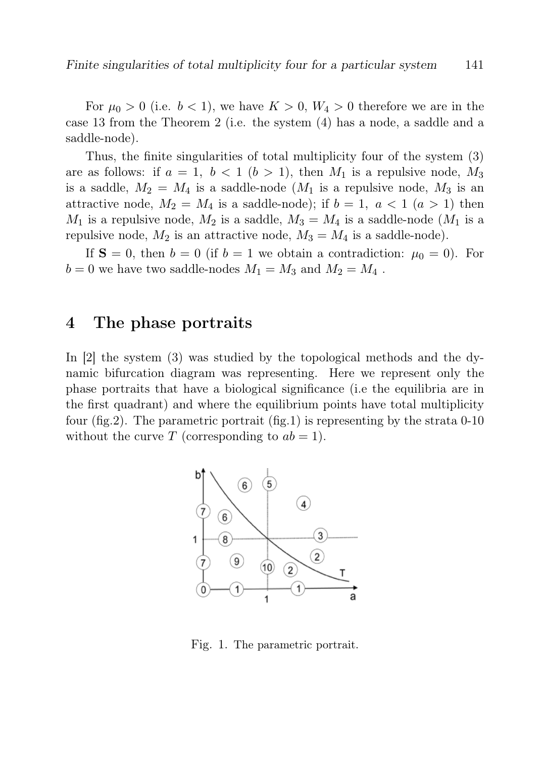For  $\mu_0 > 0$  (i.e.  $b < 1$ ), we have  $K > 0$ ,  $W_4 > 0$  therefore we are in the case 13 from the Theorem 2 (i.e. the system (4) has a node, a saddle and a saddle-node).

Thus, the finite singularities of total multiplicity four of the system (3) are as follows: if  $a = 1$ ,  $b < 1$   $(b > 1)$ , then  $M_1$  is a repulsive node,  $M_3$ is a saddle,  $M_2 = M_4$  is a saddle-node  $(M_1$  is a repulsive node,  $M_3$  is an attractive node,  $M_2 = M_4$  is a saddle-node); if  $b = 1, a < 1$   $(a > 1)$  then  $M_1$  is a repulsive node,  $M_2$  is a saddle,  $M_3 = M_4$  is a saddle-node  $(M_1$  is a repulsive node,  $M_2$  is an attractive node,  $M_3 = M_4$  is a saddle-node).

If  $S = 0$ , then  $b = 0$  (if  $b = 1$  we obtain a contradiction:  $\mu_0 = 0$ ). For  $b = 0$  we have two saddle-nodes  $M_1 = M_3$  and  $M_2 = M_4$ .

#### 4 The phase portraits

In [2] the system (3) was studied by the topological methods and the dynamic bifurcation diagram was representing. Here we represent only the phase portraits that have a biological significance (i.e the equilibria are in the first quadrant) and where the equilibrium points have total multiplicity four (fig.2). The parametric portrait (fig.1) is representing by the strata 0-10 without the curve T (corresponding to  $ab = 1$ ).



Fig. 1. The parametric portrait.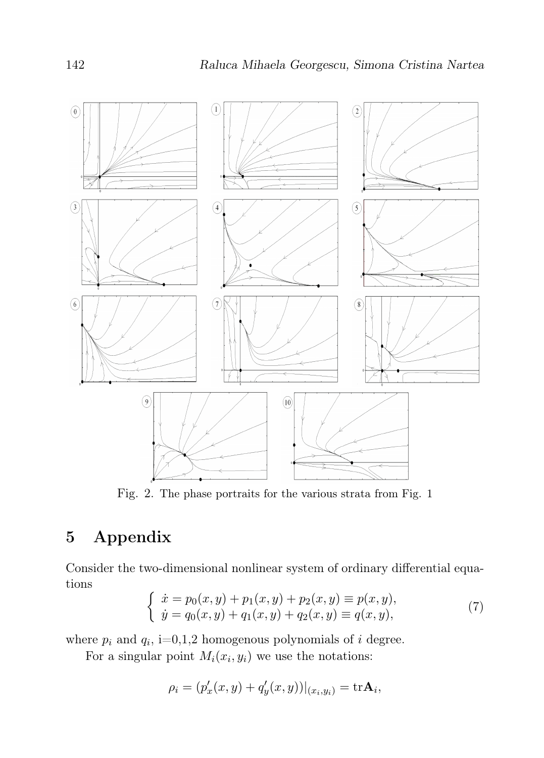

Fig. 2. The phase portraits for the various strata from Fig. 1

## 5 Appendix

Consider the two-dimensional nonlinear system of ordinary differential equations

$$
\begin{cases}\n\dot{x} = p_0(x, y) + p_1(x, y) + p_2(x, y) \equiv p(x, y), \\
\dot{y} = q_0(x, y) + q_1(x, y) + q_2(x, y) \equiv q(x, y),\n\end{cases} (7)
$$

where  $p_i$  and  $q_i$ , i=0,1,2 homogenous polynomials of i degree.

For a singular point  $M_i(x_i, y_i)$  we use the notations:

$$
\rho_i = (p'_x(x, y) + q'_y(x, y))|_{(x_i, y_i)} = \text{tr}\mathbf{A}_i,
$$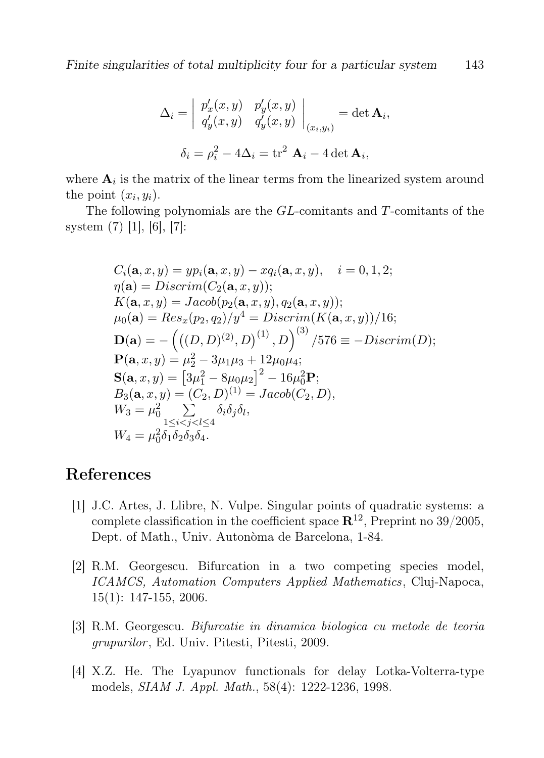$$
\Delta_i = \begin{vmatrix} p'_x(x, y) & p'_y(x, y) \\ q'_y(x, y) & q'_y(x, y) \end{vmatrix}_{(x_i, y_i)} = \det \mathbf{A}_i,
$$

$$
\delta_i = \rho_i^2 - 4\Delta_i = \text{tr}^2 \mathbf{A}_i - 4 \det \mathbf{A}_i,
$$

where  $A_i$  is the matrix of the linear terms from the linearized system around the point  $(x_i, y_i)$ .

The following polynomials are the GL-comitants and T-comitants of the system (7) [1], [6], [7]:

$$
C_i(\mathbf{a}, x, y) = yp_i(\mathbf{a}, x, y) - xq_i(\mathbf{a}, x, y), \quad i = 0, 1, 2;
$$
  
\n
$$
\eta(\mathbf{a}) = Discrim(C_2(\mathbf{a}, x, y));
$$
  
\n
$$
K(\mathbf{a}, x, y) = Jacob(p_2(\mathbf{a}, x, y), q_2(\mathbf{a}, x, y));
$$
  
\n
$$
\mu_0(\mathbf{a}) = Res_x(p_2, q_2)/y^4 = Discrim(K(\mathbf{a}, x, y))/16;
$$
  
\n
$$
\mathbf{D}(\mathbf{a}) = -((D, D)^{(2)}, D)^{(1)}, D)^{(3)}/576 \equiv -Discrim(D);
$$
  
\n
$$
\mathbf{P}(\mathbf{a}, x, y) = \mu_2^2 - 3\mu_1\mu_3 + 12\mu_0\mu_4;
$$
  
\n
$$
\mathbf{S}(\mathbf{a}, x, y) = [3\mu_1^2 - 8\mu_0\mu_2]^2 - 16\mu_0^2 \mathbf{P};
$$
  
\n
$$
B_3(\mathbf{a}, x, y) = (C_2, D)^{(1)} = Jacob(C_2, D),
$$
  
\n
$$
W_3 = \mu_0^2 \sum_{1 \le i < j < l \le 4} \delta_i \delta_j \delta_l,
$$
  
\n
$$
W_4 = \mu_0^2 \delta_1 \delta_2 \delta_3 \delta_4.
$$

#### References

- [1] J.C. Artes, J. Llibre, N. Vulpe. Singular points of quadratic systems: a complete classification in the coefficient space  $\mathbb{R}^{12}$ , Preprint no 39/2005, Dept. of Math., Univ. Autonòma de Barcelona, 1-84.
- [2] R.M. Georgescu. Bifurcation in a two competing species model, ICAMCS, Automation Computers Applied Mathematics, Cluj-Napoca, 15(1): 147-155, 2006.
- [3] R.M. Georgescu. Bifurcatie in dinamica biologica cu metode de teoria grupurilor , Ed. Univ. Pitesti, Pitesti, 2009.
- [4] X.Z. He. The Lyapunov functionals for delay Lotka-Volterra-type models, SIAM J. Appl. Math., 58(4): 1222-1236, 1998.